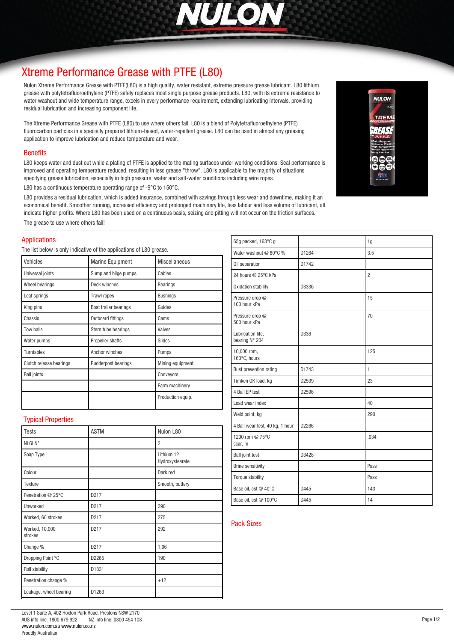

# *[Xtreme Performance Grease with PTFE \(L80\)](http://www.nulon.com.au)*

*Nulon Xtreme Performance Grease with PTFE(L80) is a high quality, water resistant, extreme pressure grease lubricant. L80 lithium grease with polytetrafluoroethylene (PTFE) safely replaces most single purpose grease products. L80, with its extreme resistance to water washout and wide temperature range, excels in every performance requirement, extending lubricating intervals, providing residual lubrication and increasing component life.*

*The Xtreme Performance Grease with PTFE (L80) to use where others fail. L80 is a blend of Polytetrafluoroethylene (PTFE) fluorocarbon particles in a specially prepared lithium-based, water-repellent grease. L80 can be used in almost any greasing application to improve lubrication and reduce temperature and wear.*

#### *Benefits*

*L80 keeps water and dust out while a plating of PTFE is applied to the mating surfaces under working conditions. Seal performance is improved and operating temperature reduced, resulting in less grease "throw". L80 is applicable to the majority of situations specifying grease lubrication, especially in high pressure, water and salt-water conditions including wire ropes.*

*L80 has a continuous temperature operating range of -9°C to 150°C.*

*L80 provides a residual lubrication, which is added insurance, combined with savings through less wear and downtime, making it an economical benefit. Smoother running, increased efficiency and prolonged machinery life, less labour and less volume of lubricant, all indicate higher profits. Where L80 has been used on a continuous basis, seizing and pitting will not occur on the friction surfaces.*

*The grease to use where others fail!*

#### *Applications*

*The list below is only indicative of the applications of L80 grease.*

| Vehicles                | <b>Marine Equipment</b> | <b>Miscellaneous</b> |
|-------------------------|-------------------------|----------------------|
| Universal joints        | Sump and bilge pumps    | Cables               |
| Wheel bearings          | Deck winches            | <b>Bearings</b>      |
| Leaf springs            | <b>Trawl ropes</b>      | <b>Bushings</b>      |
| King pins               | Boat trailer bearings   | Guides               |
| Chassis                 | Outboard fittings       | Cams                 |
| <b>Tow balls</b>        | Stern tube bearings     | Valves               |
| Water pumps             | Propeller shafts        | Slides               |
| Turntables              | Anchor winches          | Pumps                |
| Clutch release bearings | Rudderpost bearings     | Mining equipment     |
| <b>Ball joints</b>      |                         | Conveyors            |
|                         |                         | Farm machinery       |
|                         |                         | Production equip.    |

### *Typical Properties*

| <b>Tests</b>              | <b>ASTM</b> | Nulon L80                     |
|---------------------------|-------------|-------------------------------|
| NLGI N°                   |             | $\overline{2}$                |
| Soap Type                 |             | Lithium 12<br>Hydroxystearate |
| Colour                    |             | Dark red                      |
| Texture                   |             | Smooth, buttery               |
| Penetration @ 25°C        | D217        |                               |
| Unworked                  | D217        | 290                           |
| Worked, 60 strokes        | D217        | 275                           |
| Worked, 10,000<br>strokes | D217        | 292                           |
| Change %                  | D217        | 1.06                          |
| Dropping Point °C         | D2265       | 190                           |
| Roll stability            | D1831       |                               |
| Penetration change %      |             | $+12$                         |
| Leakage, wheel bearing    | D1263       |                               |

| 65g packed, 163°C g                 |       | $1g$           |
|-------------------------------------|-------|----------------|
| Water washout @ 80°C %              | D1264 | 3.5            |
| Oil separation                      | D1742 |                |
| 24 hours @ 25°C kPa                 |       | $\overline{c}$ |
| Oxidation stability                 | D3336 |                |
| Pressure drop @<br>100 hour kPa     |       | 15             |
| Pressure drop @<br>500 hour kPa     |       | 70             |
| Lubrication life,<br>bearing N° 204 | D336  |                |
| 10,000 rpm,<br>163°C, hours         |       | 125            |
| Rust prevention rating              | D1743 | $\mathbf{1}$   |
| Timken OK load, kg                  | D2509 | 23             |
| 4 Ball EP test                      | D2596 |                |
| Load wear index                     |       | 40             |
| Weld point, kg                      |       | 290            |
| 4 Ball wear test, 40 kg, 1 hour     | D2266 |                |
| 1200 rpm @ 75°C<br>scar, m          |       | .034           |
| <b>Ball joint test</b>              | D3428 |                |
| <b>Brine sensitivity</b>            |       | Pass           |
| Torque stability                    |       | Pass           |
| Base oil, cst @ 40°C                | D445  | 143            |
| Base oil, cst @ 100°C               | D445  | 14             |

## *Pack Sizes*